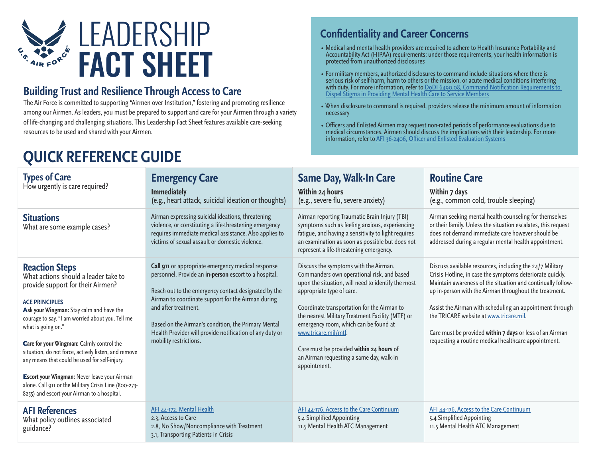

#### **Building Trust and Resilience Through Access to Care**

The Air Force is committed to supporting "Airmen over Institution," fostering and promoting resilience among our Airmen. As leaders, you must be prepared to support and care for your Airmen through a variety of life-changing and challenging situations. This Leadership Fact Sheet features available care-seeking resources to be used and shared with your Airmen.

## **QUICK REFERENCE GUIDE**

#### **Confidentiality and Career Concerns**

- ∙ Medical and mental health providers are required to adhere to Health Insurance Portability and Accountability Act (HIPAA) requirements; under those requirements, your health information is protected from unauthorized disclosures
- ∙ For military members, authorized disclosures to command include situations where there is serious risk of self-harm, harm to others or the mission, or acute medical conditions interfering with duty. For more information, refer to <u>DoDI 6490.08, Command Notification Requirements to</u><br><u>Dispel Stigma in Providing Mental Health Care to Service Members</u>
- ∙ When disclosure to command is required, providers release the minimum amount of information necessary
- ∙ Officers and Enlisted Airmen may request non-rated periods of performance evaluations due to medical circumstances. Airmen should discuss the implications with their leadership. For more information, refer to [AFI 36-2406, Officer and Enlisted Evaluation Systems](https://static.e-publishing.af.mil/production/1/af_a1/publication/afi36-2406/afi36-2406.pdf)

| <b>Types of Care</b><br>How urgently is care required?                                                                                                                                                                                                                                                                                                                                                                                                                                                                                                                 | <b>Emergency Care</b><br><b>Immediately</b><br>(e.g., heart attack, suicidal ideation or thoughts)                                                                                                                                                                                                                                                                                             | <b>Same Day, Walk-In Care</b><br>Within 24 hours<br>(e.g., severe flu, severe anxiety)                                                                                                                                                                                                                                                                                                                                                             | <b>Routine Care</b><br>Within 7 days<br>(e.g., common cold, trouble sleeping)                                                                                                                                                                                                                                                                                                                                                                                             |
|------------------------------------------------------------------------------------------------------------------------------------------------------------------------------------------------------------------------------------------------------------------------------------------------------------------------------------------------------------------------------------------------------------------------------------------------------------------------------------------------------------------------------------------------------------------------|------------------------------------------------------------------------------------------------------------------------------------------------------------------------------------------------------------------------------------------------------------------------------------------------------------------------------------------------------------------------------------------------|----------------------------------------------------------------------------------------------------------------------------------------------------------------------------------------------------------------------------------------------------------------------------------------------------------------------------------------------------------------------------------------------------------------------------------------------------|---------------------------------------------------------------------------------------------------------------------------------------------------------------------------------------------------------------------------------------------------------------------------------------------------------------------------------------------------------------------------------------------------------------------------------------------------------------------------|
| <b>Situations</b><br>What are some example cases?                                                                                                                                                                                                                                                                                                                                                                                                                                                                                                                      | Airman expressing suicidal ideations, threatening<br>violence, or constituting a life-threatening emergency<br>requires immediate medical assistance. Also applies to<br>victims of sexual assault or domestic violence.                                                                                                                                                                       | Airman reporting Traumatic Brain Injury (TBI)<br>symptoms such as feeling anxious, experiencing<br>fatigue, and having a sensitivity to light requires<br>an examination as soon as possible but does not<br>represent a life-threatening emergency.                                                                                                                                                                                               | Airman seeking mental health counseling for themselves<br>or their family. Unless the situation escalates, this request<br>does not demand immediate care however should be<br>addressed during a regular mental health appointment.                                                                                                                                                                                                                                      |
| <b>Reaction Steps</b><br>What actions should a leader take to<br>provide support for their Airmen?<br><b>ACE PRINCIPLES</b><br>Ask your Wingman: Stay calm and have the<br>courage to say, "I am worried about you. Tell me<br>what is going on."<br>Care for your Wingman: Calmly control the<br>situation, do not force, actively listen, and remove<br>any means that could be used for self-injury.<br><b>Escort your Wingman: Never leave your Airman</b><br>alone. Call 911 or the Military Crisis Line (800-273-<br>8255) and escort your Airman to a hospital. | Call 911 or appropriate emergency medical response<br>personnel. Provide an in-person escort to a hospital.<br>Reach out to the emergency contact designated by the<br>Airman to coordinate support for the Airman during<br>and after treatment.<br>Based on the Airman's condition, the Primary Mental<br>Health Provider will provide notification of any duty or<br>mobility restrictions. | Discuss the symptoms with the Airman.<br>Commanders own operational risk, and based<br>upon the situation, will need to identify the most<br>appropriate type of care.<br>Coordinate transportation for the Airman to<br>the nearest Military Treatment Facility (MTF) or<br>emergency room, which can be found at<br>www.tricare.mil/mtf.<br>Care must be provided within 24 hours of<br>an Airman requesting a same day, walk-in<br>appointment. | Discuss available resources, including the 24/7 Military<br>Crisis Hotline, in case the symptoms deteriorate quickly.<br>Maintain awareness of the situation and continually follow-<br>up in-person with the Airman throughout the treatment.<br>Assist the Airman with scheduling an appointment through<br>the TRICARE website at www.tricare.mil.<br>Care must be provided within 7 days or less of an Airman<br>requesting a routine medical healthcare appointment. |
| <b>AFI References</b><br>What policy outlines associated<br>guidance?                                                                                                                                                                                                                                                                                                                                                                                                                                                                                                  | AFI 44-172, Mental Health<br>2.3, Access to Care<br>2.8, No Show/Noncompliance with Treatment<br>3.1, Transporting Patients in Crisis                                                                                                                                                                                                                                                          | AFI 44-176, Access to the Care Continuum<br>5.4 Simplified Appointing<br>11.5 Mental Health ATC Management                                                                                                                                                                                                                                                                                                                                         | AFI 44-176, Access to the Care Continuum<br>5.4 Simplified Appointing<br>11.5 Mental Health ATC Management                                                                                                                                                                                                                                                                                                                                                                |